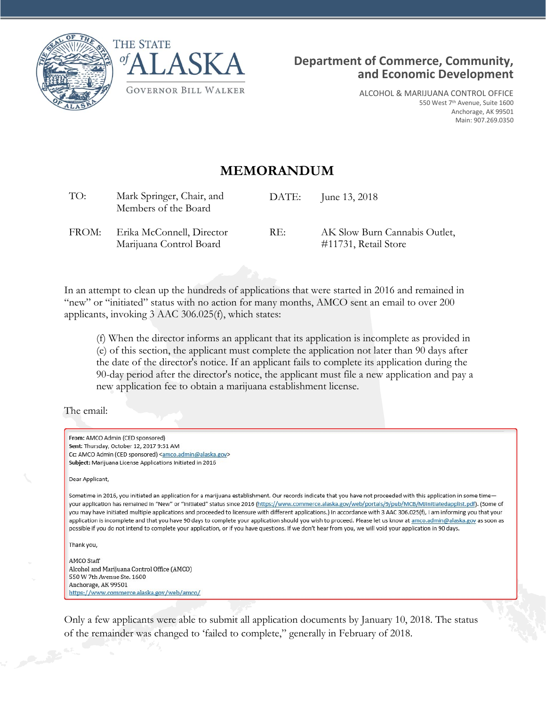



ALCOHOL & MARIJUANA CONTROL OFFICE 550 West 7<sup>th</sup> Avenue, Suite 1600 Anchorage, AK 99501 Main: 907.269.0350

## **MEMORANDUM**

| TO:   | Mark Springer, Chair, and<br>Members of the Board    | DATE: | June 13, 2018                                         |
|-------|------------------------------------------------------|-------|-------------------------------------------------------|
| FROM: | Erika McConnell, Director<br>Marijuana Control Board | RE:   | AK Slow Burn Cannabis Outlet,<br>#11731, Retail Store |

In an attempt to clean up the hundreds of applications that were started in 2016 and remained in "new" or "initiated" status with no action for many months, AMCO sent an email to over 200 applicants, invoking 3 AAC 306.025(f), which states:

(f) When the director informs an applicant that its application is incomplete as provided in (e) of this section, the applicant must complete the application not later than 90 days after the date of the director's notice. If an applicant fails to complete its application during the 90-day period after the director's notice, the applicant must file a new application and pay a new application fee to obtain a marijuana establishment license.

The email:

| From: AMCO Admin (CED sponsored)                                                                                                                                                                                                                                                                                                                                                                                                                                                                                                                                                                                                                                                                                                                                                                                                                       |
|--------------------------------------------------------------------------------------------------------------------------------------------------------------------------------------------------------------------------------------------------------------------------------------------------------------------------------------------------------------------------------------------------------------------------------------------------------------------------------------------------------------------------------------------------------------------------------------------------------------------------------------------------------------------------------------------------------------------------------------------------------------------------------------------------------------------------------------------------------|
| Sent: Thursday, October 12, 2017 9:51 AM                                                                                                                                                                                                                                                                                                                                                                                                                                                                                                                                                                                                                                                                                                                                                                                                               |
| Cc: AMCO Admin (CED sponsored) <amco.admin@alaska.gov></amco.admin@alaska.gov>                                                                                                                                                                                                                                                                                                                                                                                                                                                                                                                                                                                                                                                                                                                                                                         |
| Subject: Marijuana License Applications Initiated in 2016                                                                                                                                                                                                                                                                                                                                                                                                                                                                                                                                                                                                                                                                                                                                                                                              |
| Dear Applicant,                                                                                                                                                                                                                                                                                                                                                                                                                                                                                                                                                                                                                                                                                                                                                                                                                                        |
| Sometime in 2016, you initiated an application for a marijuana establishment. Our records indicate that you have not proceeded with this application in some time-<br>your application has remained in "New" or "Initiated" status since 2016 (https://www.commerce.alaska.gov/web/portals/9/pub/MCB/MJinitiatedapplist.pdf). (Some of<br>you may have initiated multiple applications and proceeded to licensure with different applications.) In accordance with 3 AAC 306.025(f), I am informing you that your<br>application is incomplete and that you have 90 days to complete your application should you wish to proceed. Please let us know at amco.admin@alaska.gov as soon as<br>possible if you do not intend to complete your application, or if you have questions. If we don't hear from you, we will void your application in 90 days. |
| Thank you,                                                                                                                                                                                                                                                                                                                                                                                                                                                                                                                                                                                                                                                                                                                                                                                                                                             |
| AMCO Staff                                                                                                                                                                                                                                                                                                                                                                                                                                                                                                                                                                                                                                                                                                                                                                                                                                             |
| Alcohol and Marijuana Control Office (AMCO)                                                                                                                                                                                                                                                                                                                                                                                                                                                                                                                                                                                                                                                                                                                                                                                                            |
| 550 W 7th Avenue Ste. 1600                                                                                                                                                                                                                                                                                                                                                                                                                                                                                                                                                                                                                                                                                                                                                                                                                             |
| Anchorage, AK 99501                                                                                                                                                                                                                                                                                                                                                                                                                                                                                                                                                                                                                                                                                                                                                                                                                                    |
| https://www.commerce.alaska.gov/web/amco/                                                                                                                                                                                                                                                                                                                                                                                                                                                                                                                                                                                                                                                                                                                                                                                                              |
| Only a few applicants were able to submit all application documents by January 10 $2018$ The status                                                                                                                                                                                                                                                                                                                                                                                                                                                                                                                                                                                                                                                                                                                                                    |

Only a few applicants were able to submit all application documents by January 10, 2018. The status of the remainder was changed to 'failed to complete," generally in February of 2018.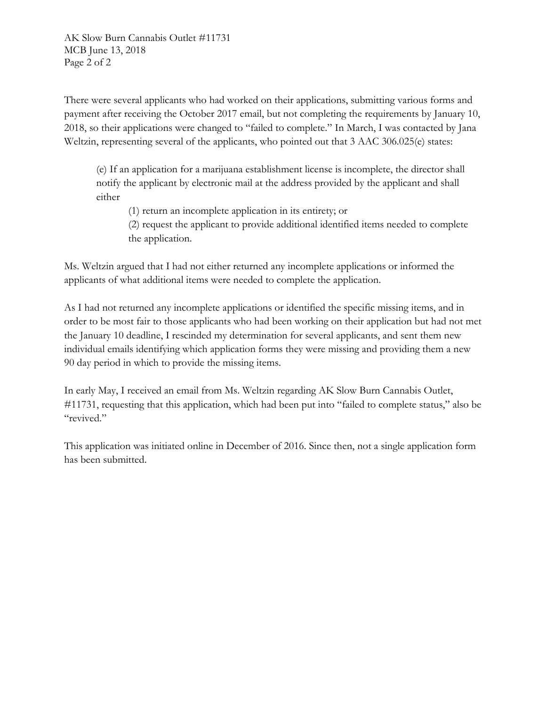AK Slow Burn Cannabis Outlet #11731 MCB June 13, 2018 Page 2 of 2

There were several applicants who had worked on their applications, submitting various forms and payment after receiving the October 2017 email, but not completing the requirements by January 10, 2018, so their applications were changed to "failed to complete." In March, I was contacted by Jana Weltzin, representing several of the applicants, who pointed out that 3 AAC 306.025(e) states:

(e) If an application for a marijuana establishment license is incomplete, the director shall notify the applicant by electronic mail at the address provided by the applicant and shall either

(1) return an incomplete application in its entirety; or

(2) request the applicant to provide additional identified items needed to complete the application.

Ms. Weltzin argued that I had not either returned any incomplete applications or informed the applicants of what additional items were needed to complete the application.

As I had not returned any incomplete applications or identified the specific missing items, and in order to be most fair to those applicants who had been working on their application but had not met the January 10 deadline, I rescinded my determination for several applicants, and sent them new individual emails identifying which application forms they were missing and providing them a new 90 day period in which to provide the missing items.

In early May, I received an email from Ms. Weltzin regarding AK Slow Burn Cannabis Outlet, #11731, requesting that this application, which had been put into "failed to complete status," also be "revived."

This application was initiated online in December of 2016. Since then, not a single application form has been submitted.